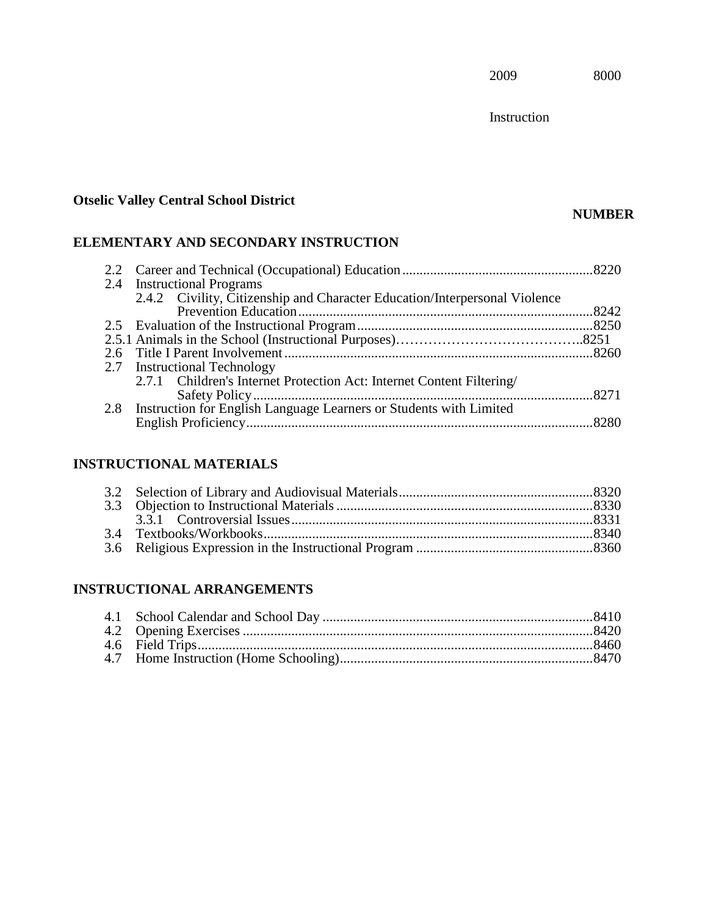Instruction

# **Otselic Valley Central School District**

# **NUMBER**

# **ELEMENTARY AND SECONDARY INSTRUCTION**

| 2.2 |                                                                            |        |
|-----|----------------------------------------------------------------------------|--------|
|     | 2.4 Instructional Programs                                                 |        |
|     | 2.4.2 Civility, Citizenship and Character Education/Interpersonal Violence |        |
|     |                                                                            | 8242   |
|     |                                                                            |        |
|     |                                                                            |        |
|     |                                                                            |        |
|     | 2.7 Instructional Technology                                               |        |
|     | 2.7.1 Children's Internet Protection Act: Internet Content Filtering/      |        |
|     |                                                                            | . 8271 |
| 2.8 | Instruction for English Language Learners or Students with Limited         |        |
|     |                                                                            |        |
|     |                                                                            |        |

# **INSTRUCTIONAL MATERIALS**

# **INSTRUCTIONAL ARRANGEMENTS**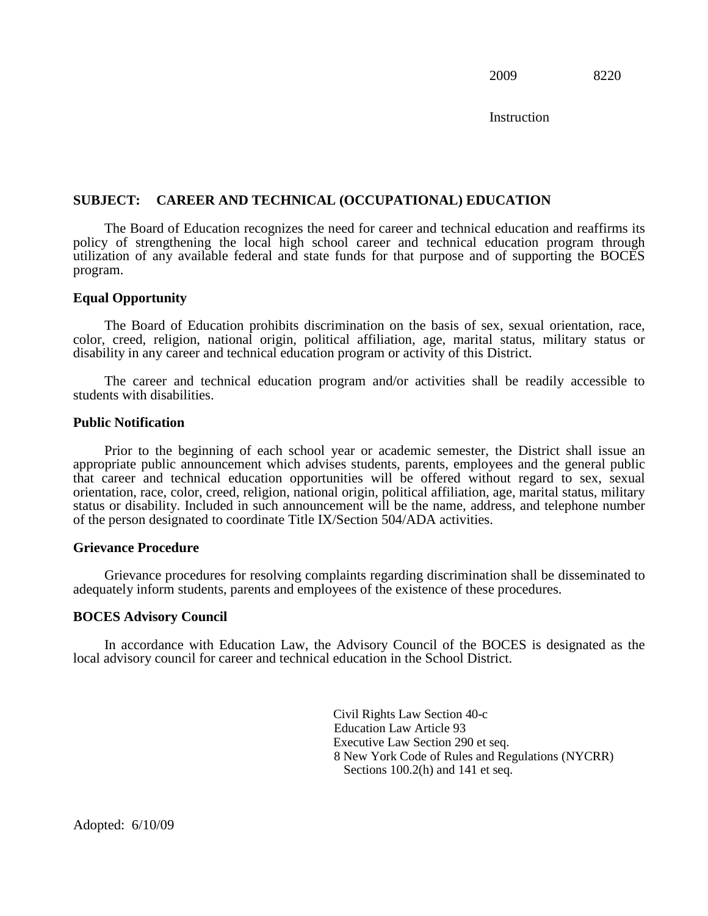**Instruction** 

## **SUBJECT: CAREER AND TECHNICAL (OCCUPATIONAL) EDUCATION**

The Board of Education recognizes the need for career and technical education and reaffirms its policy of strengthening the local high school career and technical education program through utilization of any available federal and state funds for that purpose and of supporting the BOCES program.

#### **Equal Opportunity**

The Board of Education prohibits discrimination on the basis of sex, sexual orientation, race, color, creed, religion, national origin, political affiliation, age, marital status, military status or disability in any career and technical education program or activity of this District.

The career and technical education program and/or activities shall be readily accessible to students with disabilities.

#### **Public Notification**

Prior to the beginning of each school year or academic semester, the District shall issue an appropriate public announcement which advises students, parents, employees and the general public that career and technical education opportunities will be offered without regard to sex, sexual orientation, race, color, creed, religion, national origin, political affiliation, age, marital status, military status or disability. Included in such announcement will be the name, address, and telephone number of the person designated to coordinate Title IX/Section 504/ADA activities.

#### **Grievance Procedure**

Grievance procedures for resolving complaints regarding discrimination shall be disseminated to adequately inform students, parents and employees of the existence of these procedures.

#### **BOCES Advisory Council**

In accordance with Education Law, the Advisory Council of the BOCES is designated as the local advisory council for career and technical education in the School District.

> Civil Rights Law Section 40-c Education Law Article 93 Executive Law Section 290 et seq. 8 New York Code of Rules and Regulations (NYCRR) Sections 100.2(h) and 141 et seq.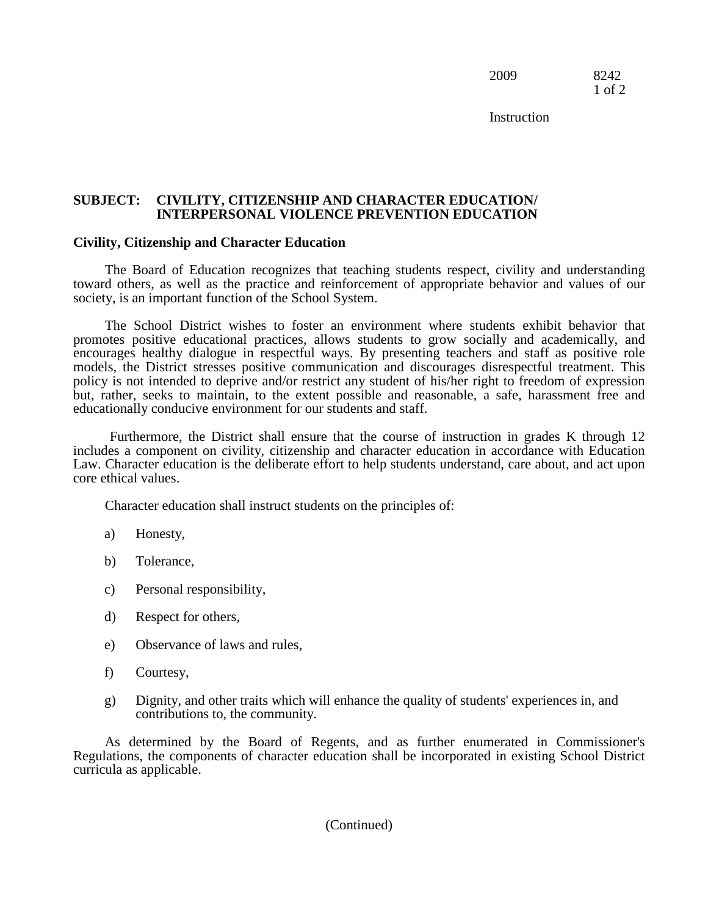2009 8242 1 of 2

**Instruction** 

#### **SUBJECT: CIVILITY, CITIZENSHIP AND CHARACTER EDUCATION/ INTERPERSONAL VIOLENCE PREVENTION EDUCATION**

#### **Civility, Citizenship and Character Education**

The Board of Education recognizes that teaching students respect, civility and understanding toward others, as well as the practice and reinforcement of appropriate behavior and values of our society, is an important function of the School System.

The School District wishes to foster an environment where students exhibit behavior that promotes positive educational practices, allows students to grow socially and academically, and encourages healthy dialogue in respectful ways. By presenting teachers and staff as positive role models, the District stresses positive communication and discourages disrespectful treatment. This policy is not intended to deprive and/or restrict any student of his/her right to freedom of expression but, rather, seeks to maintain, to the extent possible and reasonable, a safe, harassment free and educationally conducive environment for our students and staff.

Furthermore, the District shall ensure that the course of instruction in grades K through 12 includes a component on civility, citizenship and character education in accordance with Education Law. Character education is the deliberate effort to help students understand, care about, and act upon core ethical values.

Character education shall instruct students on the principles of:

- a) Honesty,
- b) Tolerance,
- c) Personal responsibility,
- d) Respect for others,
- e) Observance of laws and rules,
- f) Courtesy,
- g) Dignity, and other traits which will enhance the quality of students' experiences in, and contributions to, the community.

As determined by the Board of Regents, and as further enumerated in Commissioner's Regulations, the components of character education shall be incorporated in existing School District curricula as applicable.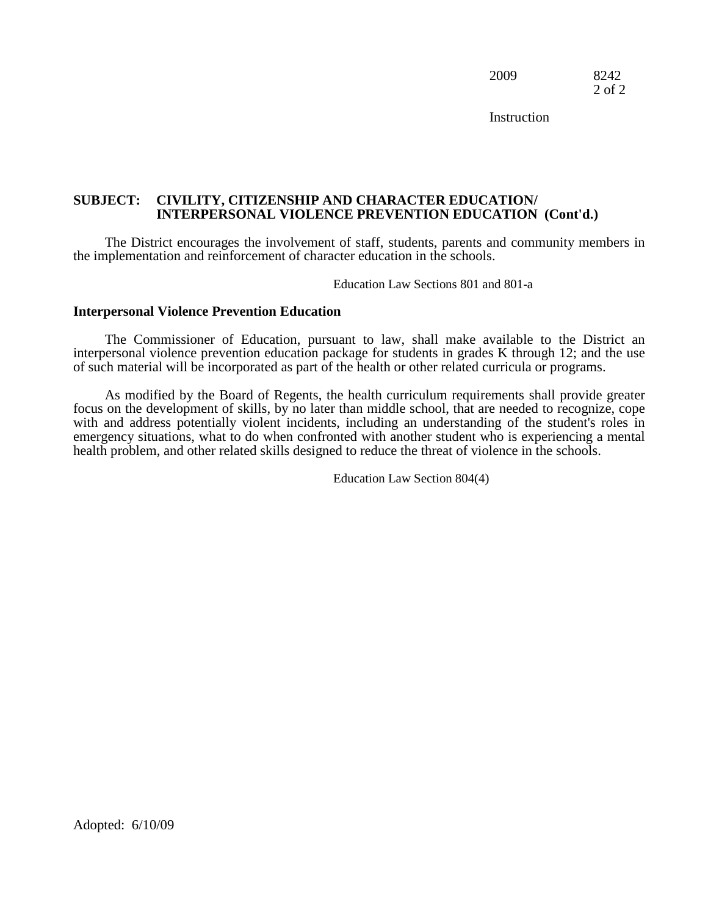2009 8242 2 of 2

**Instruction** 

#### **SUBJECT: CIVILITY, CITIZENSHIP AND CHARACTER EDUCATION/ INTERPERSONAL VIOLENCE PREVENTION EDUCATION (Cont'd.)**

The District encourages the involvement of staff, students, parents and community members in the implementation and reinforcement of character education in the schools.

Education Law Sections 801 and 801-a

#### **Interpersonal Violence Prevention Education**

The Commissioner of Education, pursuant to law, shall make available to the District an interpersonal violence prevention education package for students in grades K through 12; and the use of such material will be incorporated as part of the health or other related curricula or programs.

As modified by the Board of Regents, the health curriculum requirements shall provide greater focus on the development of skills, by no later than middle school, that are needed to recognize, cope with and address potentially violent incidents, including an understanding of the student's roles in emergency situations, what to do when confronted with another student who is experiencing a mental health problem, and other related skills designed to reduce the threat of violence in the schools.

Education Law Section 804(4)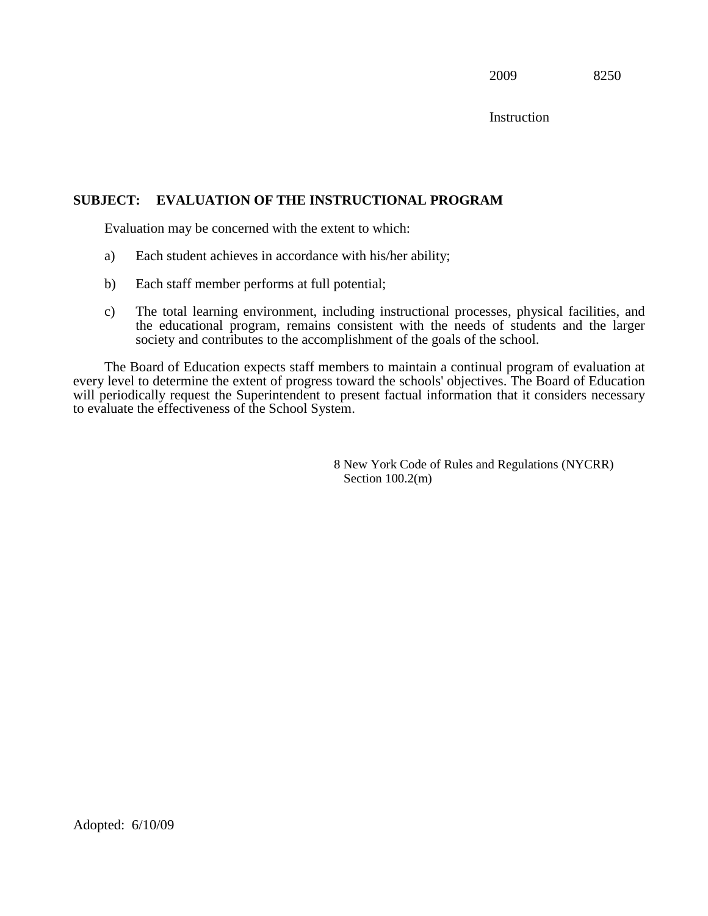**Instruction** 

## **SUBJECT: EVALUATION OF THE INSTRUCTIONAL PROGRAM**

Evaluation may be concerned with the extent to which:

- a) Each student achieves in accordance with his/her ability;
- b) Each staff member performs at full potential;
- c) The total learning environment, including instructional processes, physical facilities, and the educational program, remains consistent with the needs of students and the larger society and contributes to the accomplishment of the goals of the school.

The Board of Education expects staff members to maintain a continual program of evaluation at every level to determine the extent of progress toward the schools' objectives. The Board of Education will periodically request the Superintendent to present factual information that it considers necessary to evaluate the effectiveness of the School System.

> 8 New York Code of Rules and Regulations (NYCRR) Section  $100.2(m)$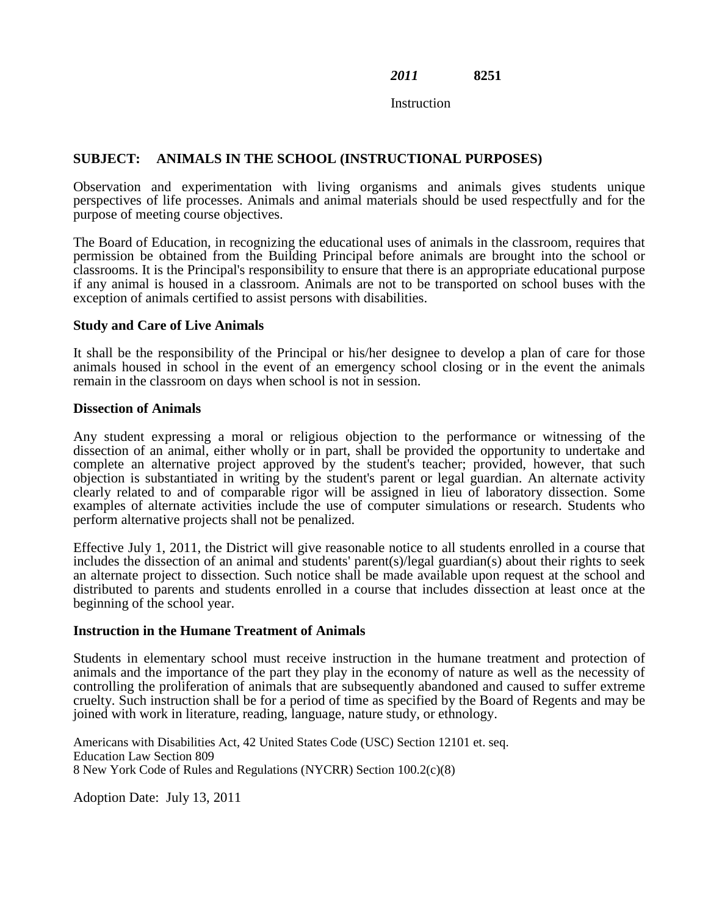Instruction

## **SUBJECT: ANIMALS IN THE SCHOOL (INSTRUCTIONAL PURPOSES)**

Observation and experimentation with living organisms and animals gives students unique perspectives of life processes. Animals and animal materials should be used respectfully and for the purpose of meeting course objectives.

The Board of Education, in recognizing the educational uses of animals in the classroom, requires that permission be obtained from the Building Principal before animals are brought into the school or classrooms. It is the Principal's responsibility to ensure that there is an appropriate educational purpose if any animal is housed in a classroom. Animals are not to be transported on school buses with the exception of animals certified to assist persons with disabilities.

## **Study and Care of Live Animals**

It shall be the responsibility of the Principal or his/her designee to develop a plan of care for those animals housed in school in the event of an emergency school closing or in the event the animals remain in the classroom on days when school is not in session.

#### **Dissection of Animals**

Any student expressing a moral or religious objection to the performance or witnessing of the dissection of an animal, either wholly or in part, shall be provided the opportunity to undertake and complete an alternative project approved by the student's teacher; provided, however, that such objection is substantiated in writing by the student's parent or legal guardian. An alternate activity clearly related to and of comparable rigor will be assigned in lieu of laboratory dissection. Some examples of alternate activities include the use of computer simulations or research. Students who perform alternative projects shall not be penalized.

Effective July 1, 2011, the District will give reasonable notice to all students enrolled in a course that includes the dissection of an animal and students' parent(s)/legal guardian(s) about their rights to seek an alternate project to dissection. Such notice shall be made available upon request at the school and distributed to parents and students enrolled in a course that includes dissection at least once at the beginning of the school year.

#### **Instruction in the Humane Treatment of Animals**

Students in elementary school must receive instruction in the humane treatment and protection of animals and the importance of the part they play in the economy of nature as well as the necessity of controlling the proliferation of animals that are subsequently abandoned and caused to suffer extreme cruelty. Such instruction shall be for a period of time as specified by the Board of Regents and may be joined with work in literature, reading, language, nature study, or ethnology.

Americans with Disabilities Act, 42 United States Code (USC) Section 12101 et. seq. Education Law Section 809 8 New York Code of Rules and Regulations (NYCRR) Section 100.2(c)(8)

Adoption Date: July 13, 2011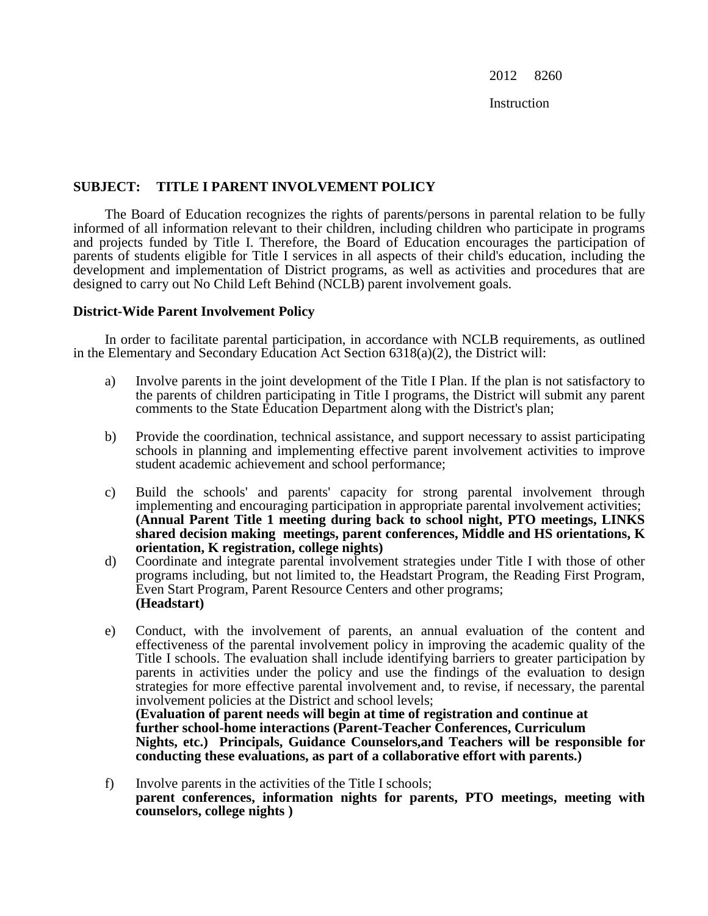Instruction

## **SUBJECT: TITLE I PARENT INVOLVEMENT POLICY**

The Board of Education recognizes the rights of parents/persons in parental relation to be fully informed of all information relevant to their children, including children who participate in programs and projects funded by Title I. Therefore, the Board of Education encourages the participation of parents of students eligible for Title I services in all aspects of their child's education, including the development and implementation of District programs, as well as activities and procedures that are designed to carry out No Child Left Behind (NCLB) parent involvement goals.

## **District-Wide Parent Involvement Policy**

In order to facilitate parental participation, in accordance with NCLB requirements, as outlined in the Elementary and Secondary Education Act Section 6318(a)(2), the District will:

- a) Involve parents in the joint development of the Title I Plan. If the plan is not satisfactory to the parents of children participating in Title I programs, the District will submit any parent comments to the State Education Department along with the District's plan;
- b) Provide the coordination, technical assistance, and support necessary to assist participating schools in planning and implementing effective parent involvement activities to improve student academic achievement and school performance;
- c) Build the schools' and parents' capacity for strong parental involvement through implementing and encouraging participation in appropriate parental involvement activities; **(Annual Parent Title 1 meeting during back to school night, PTO meetings, LINKS shared decision making meetings, parent conferences, Middle and HS orientations, K orientation, K registration, college nights)**
- d) Coordinate and integrate parental involvement strategies under Title I with those of other programs including, but not limited to, the Headstart Program, the Reading First Program, Even Start Program, Parent Resource Centers and other programs; **(Headstart)**
- e) Conduct, with the involvement of parents, an annual evaluation of the content and effectiveness of the parental involvement policy in improving the academic quality of the Title I schools. The evaluation shall include identifying barriers to greater participation by parents in activities under the policy and use the findings of the evaluation to design strategies for more effective parental involvement and, to revise, if necessary, the parental involvement policies at the District and school levels; **(Evaluation of parent needs will begin at time of registration and continue at**

**further school-home interactions (Parent-Teacher Conferences, Curriculum Nights, etc.) Principals, Guidance Counselors,and Teachers will be responsible for conducting these evaluations, as part of a collaborative effort with parents.)**

f) Involve parents in the activities of the Title I schools; **parent conferences, information nights for parents, PTO meetings, meeting with counselors, college nights )**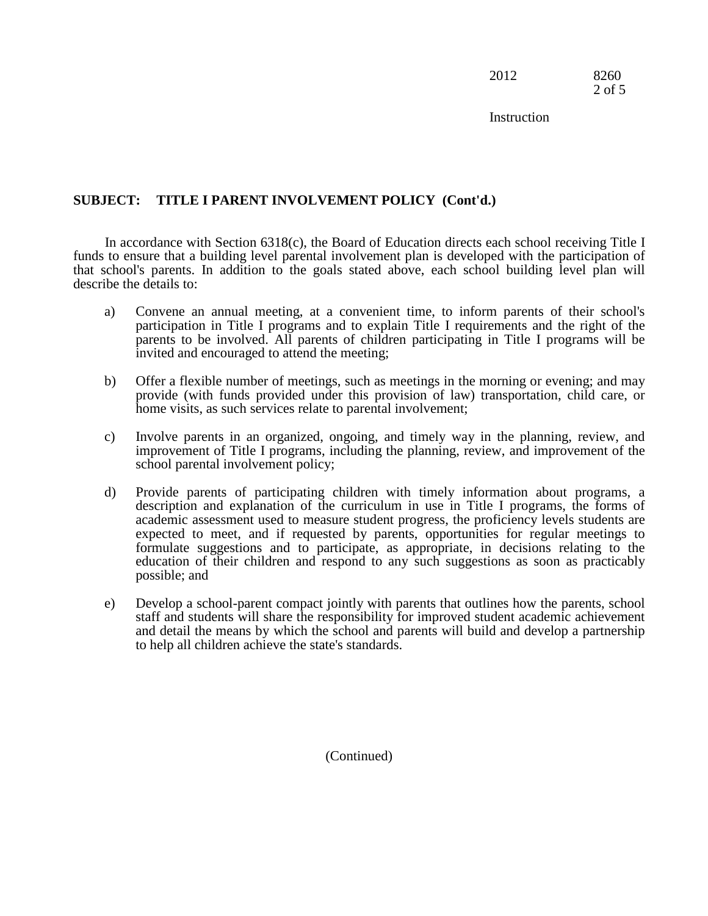2012 8260 2 of 5

**Instruction** 

## **SUBJECT: TITLE I PARENT INVOLVEMENT POLICY (Cont'd.)**

In accordance with Section 6318(c), the Board of Education directs each school receiving Title I funds to ensure that a building level parental involvement plan is developed with the participation of that school's parents. In addition to the goals stated above, each school building level plan will describe the details to:

- a) Convene an annual meeting, at a convenient time, to inform parents of their school's participation in Title I programs and to explain Title I requirements and the right of the parents to be involved. All parents of children participating in Title I programs will be invited and encouraged to attend the meeting;
- b) Offer a flexible number of meetings, such as meetings in the morning or evening; and may provide (with funds provided under this provision of law) transportation, child care, or home visits, as such services relate to parental involvement;
- c) Involve parents in an organized, ongoing, and timely way in the planning, review, and improvement of Title I programs, including the planning, review, and improvement of the school parental involvement policy;
- d) Provide parents of participating children with timely information about programs, a description and explanation of the curriculum in use in Title I programs, the forms of academic assessment used to measure student progress, the proficiency levels students are expected to meet, and if requested by parents, opportunities for regular meetings to formulate suggestions and to participate, as appropriate, in decisions relating to the education of their children and respond to any such suggestions as soon as practicably possible; and
- e) Develop a school-parent compact jointly with parents that outlines how the parents, school staff and students will share the responsibility for improved student academic achievement and detail the means by which the school and parents will build and develop a partnership to help all children achieve the state's standards.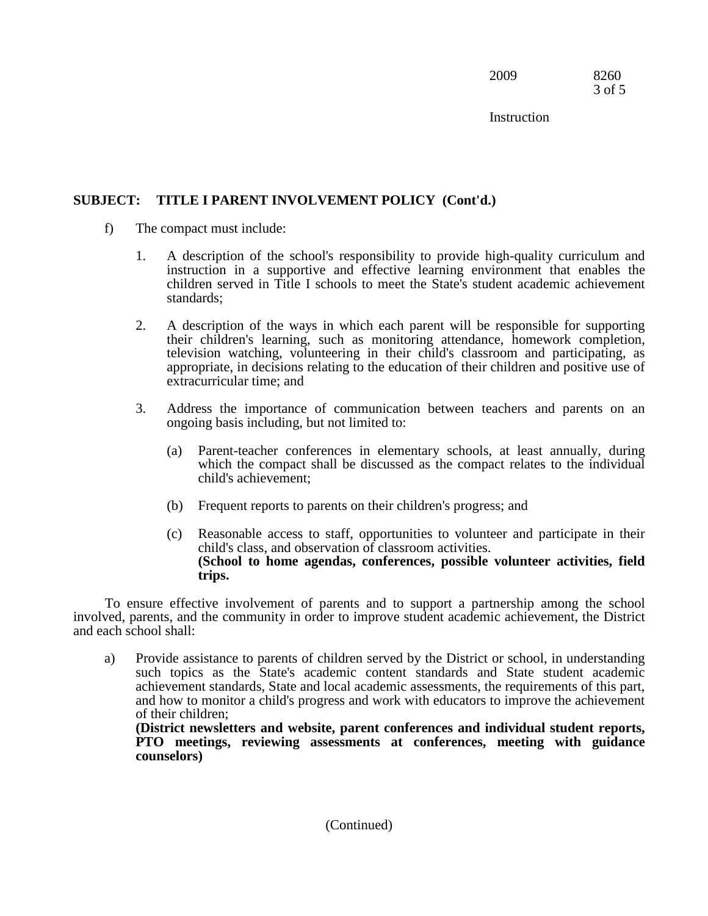2009 8260 3 of 5

**Instruction** 

# **SUBJECT: TITLE I PARENT INVOLVEMENT POLICY (Cont'd.)**

- f) The compact must include:
	- 1. A description of the school's responsibility to provide high-quality curriculum and instruction in a supportive and effective learning environment that enables the children served in Title I schools to meet the State's student academic achievement standards;
	- 2. A description of the ways in which each parent will be responsible for supporting their children's learning, such as monitoring attendance, homework completion, television watching, volunteering in their child's classroom and participating, as appropriate, in decisions relating to the education of their children and positive use of extracurricular time; and
	- 3. Address the importance of communication between teachers and parents on an ongoing basis including, but not limited to:
		- (a) Parent-teacher conferences in elementary schools, at least annually, during which the compact shall be discussed as the compact relates to the individual child's achievement;
		- (b) Frequent reports to parents on their children's progress; and
		- (c) Reasonable access to staff, opportunities to volunteer and participate in their child's class, and observation of classroom activities. **(School to home agendas, conferences, possible volunteer activities, field trips.**

To ensure effective involvement of parents and to support a partnership among the school involved, parents, and the community in order to improve student academic achievement, the District and each school shall:

a) Provide assistance to parents of children served by the District or school, in understanding such topics as the State's academic content standards and State student academic achievement standards, State and local academic assessments, the requirements of this part, and how to monitor a child's progress and work with educators to improve the achievement of their children;

**(District newsletters and website, parent conferences and individual student reports, PTO meetings, reviewing assessments at conferences, meeting with guidance counselors)**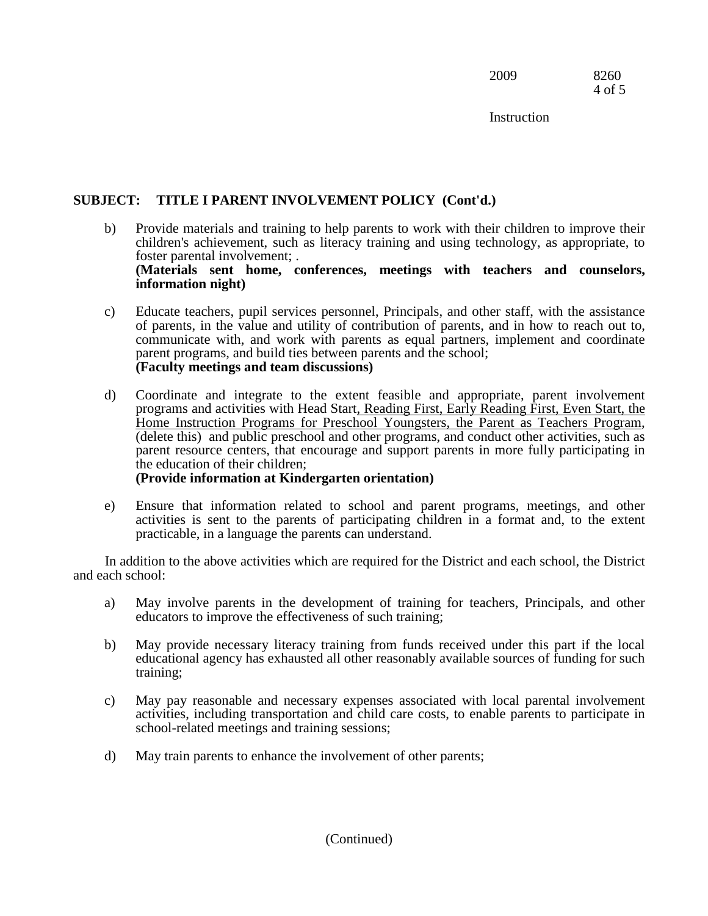2009 8260 4 of 5

**Instruction** 

# **SUBJECT: TITLE I PARENT INVOLVEMENT POLICY (Cont'd.)**

- b) Provide materials and training to help parents to work with their children to improve their children's achievement, such as literacy training and using technology, as appropriate, to foster parental involvement; . **(Materials sent home, conferences, meetings with teachers and counselors, information night)**
- c) Educate teachers, pupil services personnel, Principals, and other staff, with the assistance of parents, in the value and utility of contribution of parents, and in how to reach out to, communicate with, and work with parents as equal partners, implement and coordinate parent programs, and build ties between parents and the school; **(Faculty meetings and team discussions)**
- d) Coordinate and integrate to the extent feasible and appropriate, parent involvement programs and activities with Head Start, Reading First, Early Reading First, Even Start, the Home Instruction Programs for Preschool Youngsters, the Parent as Teachers Program, (delete this) and public preschool and other programs, and conduct other activities, such as parent resource centers, that encourage and support parents in more fully participating in the education of their children;

# **(Provide information at Kindergarten orientation)**

e) Ensure that information related to school and parent programs, meetings, and other activities is sent to the parents of participating children in a format and, to the extent practicable, in a language the parents can understand.

In addition to the above activities which are required for the District and each school, the District and each school:

- a) May involve parents in the development of training for teachers, Principals, and other educators to improve the effectiveness of such training;
- b) May provide necessary literacy training from funds received under this part if the local educational agency has exhausted all other reasonably available sources of funding for such training;
- c) May pay reasonable and necessary expenses associated with local parental involvement activities, including transportation and child care costs, to enable parents to participate in school-related meetings and training sessions;
- d) May train parents to enhance the involvement of other parents;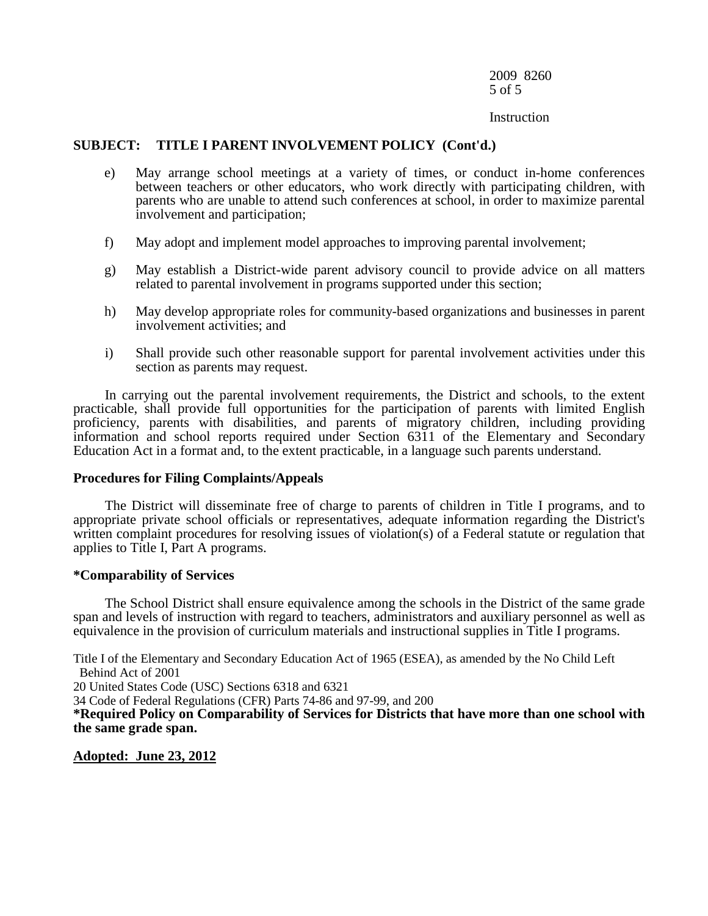2009 8260 5 of 5

#### **Instruction**

#### **SUBJECT: TITLE I PARENT INVOLVEMENT POLICY (Cont'd.)**

- e) May arrange school meetings at a variety of times, or conduct in-home conferences between teachers or other educators, who work directly with participating children, with parents who are unable to attend such conferences at school, in order to maximize parental involvement and participation;
- f) May adopt and implement model approaches to improving parental involvement;
- g) May establish a District-wide parent advisory council to provide advice on all matters related to parental involvement in programs supported under this section;
- h) May develop appropriate roles for community-based organizations and businesses in parent involvement activities; and
- i) Shall provide such other reasonable support for parental involvement activities under this section as parents may request.

In carrying out the parental involvement requirements, the District and schools, to the extent practicable, shall provide full opportunities for the participation of parents with limited English proficiency, parents with disabilities, and parents of migratory children, including providing information and school reports required under Section 6311 of the Elementary and Secondary Education Act in a format and, to the extent practicable, in a language such parents understand.

#### **Procedures for Filing Complaints/Appeals**

The District will disseminate free of charge to parents of children in Title I programs, and to appropriate private school officials or representatives, adequate information regarding the District's written complaint procedures for resolving issues of violation(s) of a Federal statute or regulation that applies to Title I, Part A programs.

#### **\*Comparability of Services**

The School District shall ensure equivalence among the schools in the District of the same grade span and levels of instruction with regard to teachers, administrators and auxiliary personnel as well as equivalence in the provision of curriculum materials and instructional supplies in Title I programs.

Title I of the Elementary and Secondary Education Act of 1965 (ESEA), as amended by the No Child Left Behind Act of 2001

20 United States Code (USC) Sections 6318 and 6321

34 Code of Federal Regulations (CFR) Parts 74-86 and 97-99, and 200

**\*Required Policy on Comparability of Services for Districts that have more than one school with the same grade span.**

**Adopted: June 23, 2012**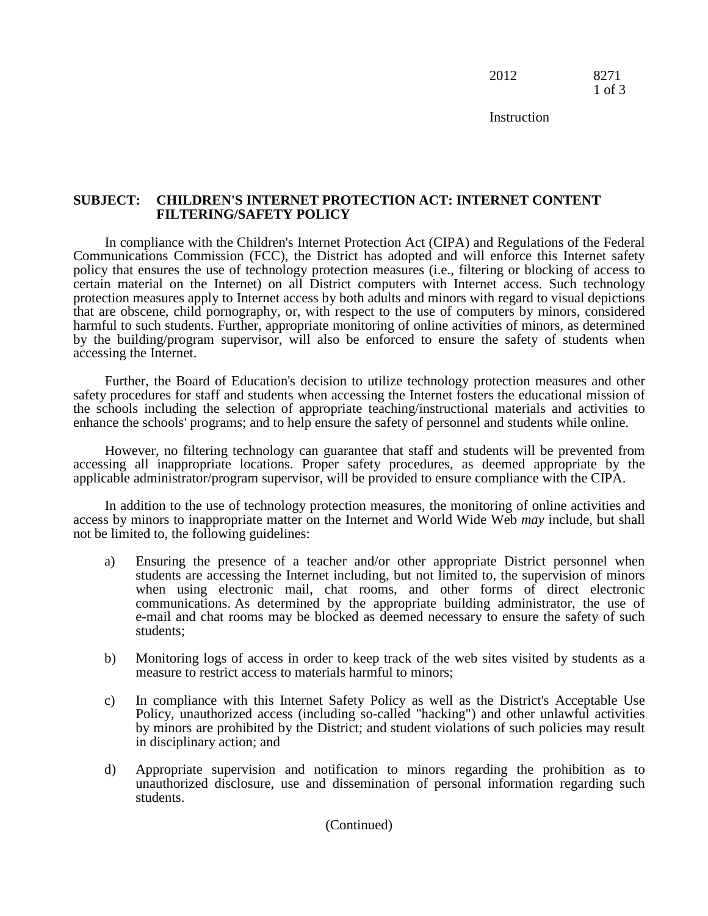2012 8271 1 of 3

**Instruction** 

## **SUBJECT: CHILDREN'S INTERNET PROTECTION ACT: INTERNET CONTENT FILTERING/SAFETY POLICY**

In compliance with the Children's Internet Protection Act (CIPA) and Regulations of the Federal Communications Commission (FCC), the District has adopted and will enforce this Internet safety policy that ensures the use of technology protection measures (i.e., filtering or blocking of access to certain material on the Internet) on all District computers with Internet access. Such technology protection measures apply to Internet access by both adults and minors with regard to visual depictions that are obscene, child pornography, or, with respect to the use of computers by minors, considered harmful to such students. Further, appropriate monitoring of online activities of minors, as determined by the building/program supervisor, will also be enforced to ensure the safety of students when accessing the Internet.

Further, the Board of Education's decision to utilize technology protection measures and other safety procedures for staff and students when accessing the Internet fosters the educational mission of the schools including the selection of appropriate teaching/instructional materials and activities to enhance the schools' programs; and to help ensure the safety of personnel and students while online.

However, no filtering technology can guarantee that staff and students will be prevented from accessing all inappropriate locations. Proper safety procedures, as deemed appropriate by the applicable administrator/program supervisor, will be provided to ensure compliance with the CIPA.

In addition to the use of technology protection measures, the monitoring of online activities and access by minors to inappropriate matter on the Internet and World Wide Web *may* include, but shall not be limited to, the following guidelines:

- a) Ensuring the presence of a teacher and/or other appropriate District personnel when students are accessing the Internet including, but not limited to, the supervision of minors when using electronic mail, chat rooms, and other forms of direct electronic communications. As determined by the appropriate building administrator, the use of e-mail and chat rooms may be blocked as deemed necessary to ensure the safety of such students;
- b) Monitoring logs of access in order to keep track of the web sites visited by students as a measure to restrict access to materials harmful to minors;
- c) In compliance with this Internet Safety Policy as well as the District's Acceptable Use Policy, unauthorized access (including so-called "hacking") and other unlawful activities by minors are prohibited by the District; and student violations of such policies may result in disciplinary action; and
- d) Appropriate supervision and notification to minors regarding the prohibition as to unauthorized disclosure, use and dissemination of personal information regarding such students.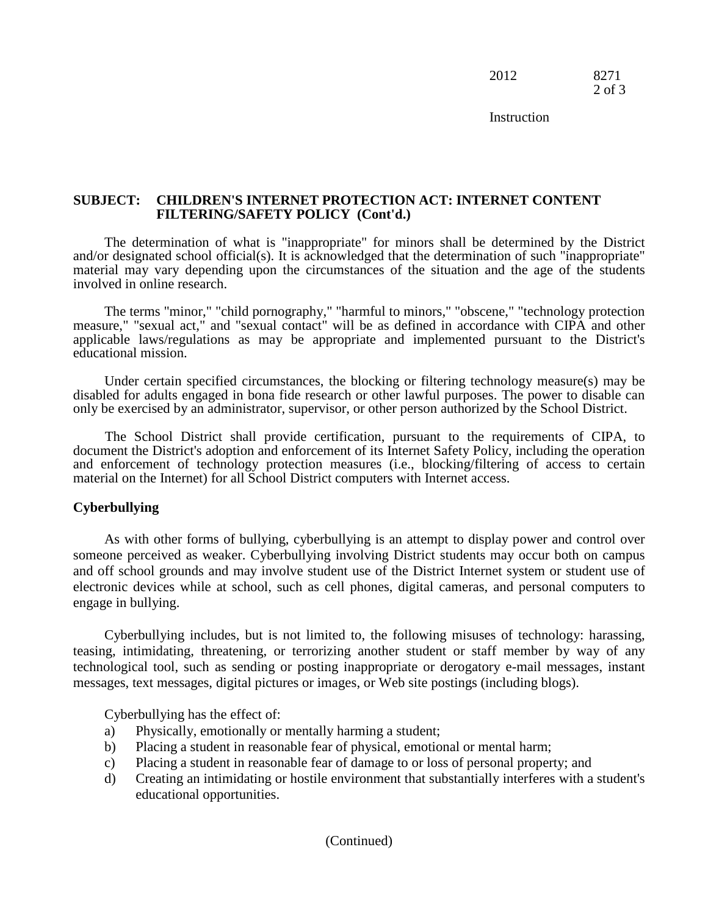2012 8271 2 of 3

**Instruction** 

## **SUBJECT: CHILDREN'S INTERNET PROTECTION ACT: INTERNET CONTENT FILTERING/SAFETY POLICY (Cont'd.)**

The determination of what is "inappropriate" for minors shall be determined by the District and/or designated school official(s). It is acknowledged that the determination of such "inappropriate" material may vary depending upon the circumstances of the situation and the age of the students involved in online research.

The terms "minor," "child pornography," "harmful to minors," "obscene," "technology protection measure," "sexual act," and "sexual contact" will be as defined in accordance with CIPA and other applicable laws/regulations as may be appropriate and implemented pursuant to the District's educational mission.

Under certain specified circumstances, the blocking or filtering technology measure(s) may be disabled for adults engaged in bona fide research or other lawful purposes. The power to disable can only be exercised by an administrator, supervisor, or other person authorized by the School District.

The School District shall provide certification, pursuant to the requirements of CIPA, to document the District's adoption and enforcement of its Internet Safety Policy, including the operation and enforcement of technology protection measures (i.e., blocking/filtering of access to certain material on the Internet) for all School District computers with Internet access.

#### **Cyberbullying**

As with other forms of bullying, cyberbullying is an attempt to display power and control over someone perceived as weaker. Cyberbullying involving District students may occur both on campus and off school grounds and may involve student use of the District Internet system or student use of electronic devices while at school, such as cell phones, digital cameras, and personal computers to engage in bullying.

Cyberbullying includes, but is not limited to, the following misuses of technology: harassing, teasing, intimidating, threatening, or terrorizing another student or staff member by way of any technological tool, such as sending or posting inappropriate or derogatory e-mail messages, instant messages, text messages, digital pictures or images, or Web site postings (including blogs).

Cyberbullying has the effect of:

- a) Physically, emotionally or mentally harming a student;
- b) Placing a student in reasonable fear of physical, emotional or mental harm;
- c) Placing a student in reasonable fear of damage to or loss of personal property; and
- d) Creating an intimidating or hostile environment that substantially interferes with a student's educational opportunities.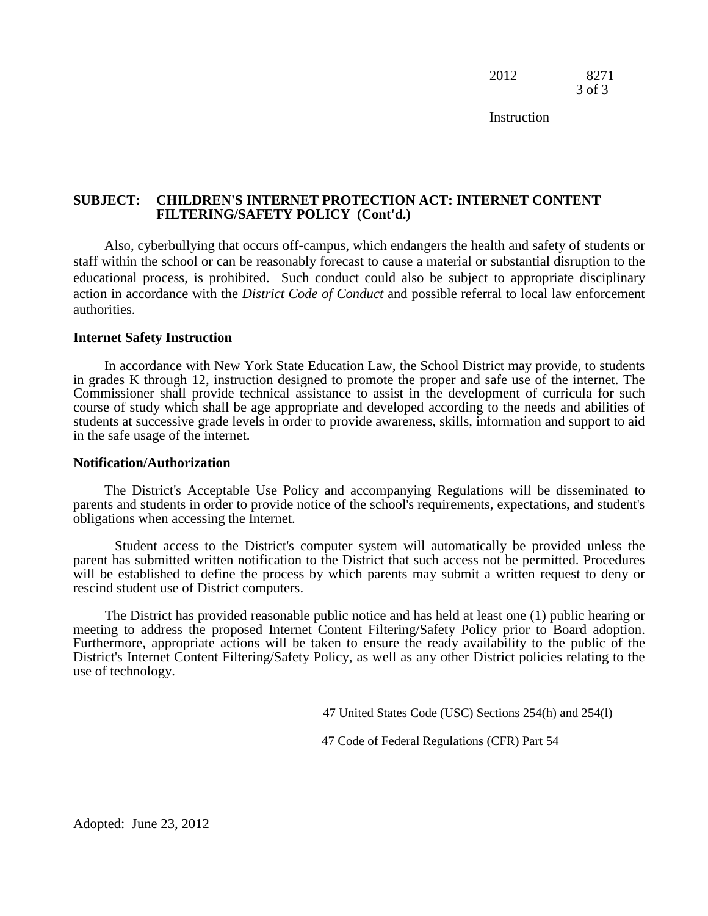2012 8271 3 of 3

**Instruction** 

## **SUBJECT: CHILDREN'S INTERNET PROTECTION ACT: INTERNET CONTENT FILTERING/SAFETY POLICY (Cont'd.)**

Also, cyberbullying that occurs off-campus, which endangers the health and safety of students or staff within the school or can be reasonably forecast to cause a material or substantial disruption to the educational process, is prohibited. Such conduct could also be subject to appropriate disciplinary action in accordance with the *District Code of Conduct* and possible referral to local law enforcement authorities.

#### **Internet Safety Instruction**

In accordance with New York State Education Law, the School District may provide, to students in grades K through 12, instruction designed to promote the proper and safe use of the internet. The Commissioner shall provide technical assistance to assist in the development of curricula for such course of study which shall be age appropriate and developed according to the needs and abilities of students at successive grade levels in order to provide awareness, skills, information and support to aid in the safe usage of the internet.

#### **Notification/Authorization**

The District's Acceptable Use Policy and accompanying Regulations will be disseminated to parents and students in order to provide notice of the school's requirements, expectations, and student's obligations when accessing the Internet.

Student access to the District's computer system will automatically be provided unless the parent has submitted written notification to the District that such access not be permitted. Procedures will be established to define the process by which parents may submit a written request to deny or rescind student use of District computers.

The District has provided reasonable public notice and has held at least one (1) public hearing or meeting to address the proposed Internet Content Filtering/Safety Policy prior to Board adoption. Furthermore, appropriate actions will be taken to ensure the ready availability to the public of the District's Internet Content Filtering/Safety Policy, as well as any other District policies relating to the use of technology.

47 United States Code (USC) Sections 254(h) and 254(l)

47 Code of Federal Regulations (CFR) Part 54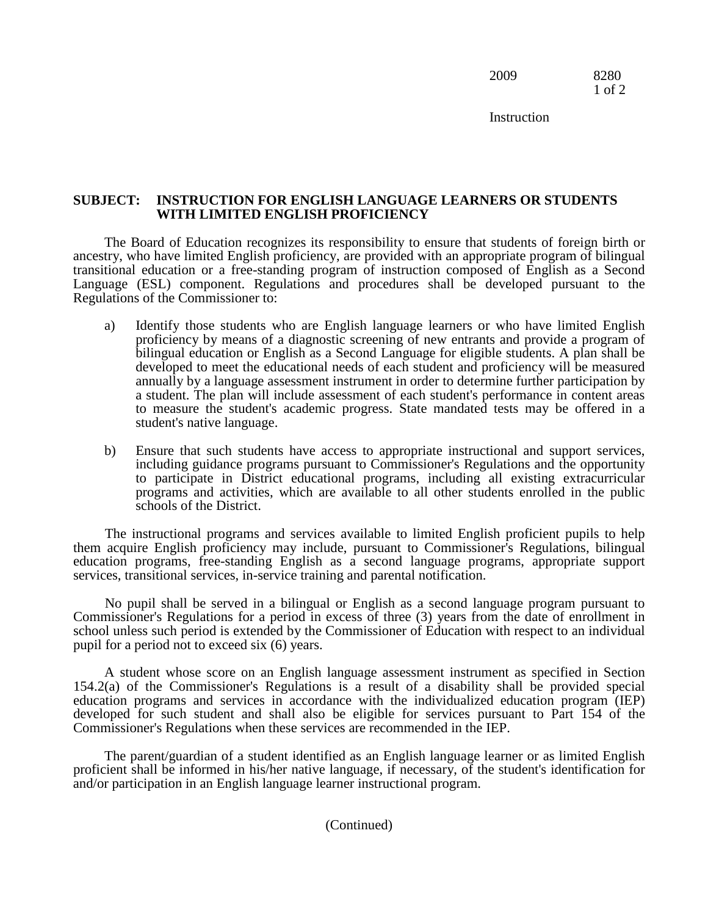2009 8280 1 of 2

**Instruction** 

## **SUBJECT: INSTRUCTION FOR ENGLISH LANGUAGE LEARNERS OR STUDENTS WITH LIMITED ENGLISH PROFICIENCY**

The Board of Education recognizes its responsibility to ensure that students of foreign birth or ancestry, who have limited English proficiency, are provided with an appropriate program of bilingual transitional education or a free-standing program of instruction composed of English as a Second Language (ESL) component. Regulations and procedures shall be developed pursuant to the Regulations of the Commissioner to:

- a) Identify those students who are English language learners or who have limited English proficiency by means of a diagnostic screening of new entrants and provide a program of bilingual education or English as a Second Language for eligible students. A plan shall be developed to meet the educational needs of each student and proficiency will be measured annually by a language assessment instrument in order to determine further participation by a student. The plan will include assessment of each student's performance in content areas to measure the student's academic progress. State mandated tests may be offered in a student's native language.
- b) Ensure that such students have access to appropriate instructional and support services, including guidance programs pursuant to Commissioner's Regulations and the opportunity to participate in District educational programs, including all existing extracurricular programs and activities, which are available to all other students enrolled in the public schools of the District.

The instructional programs and services available to limited English proficient pupils to help them acquire English proficiency may include, pursuant to Commissioner's Regulations, bilingual education programs, free-standing English as a second language programs, appropriate support services, transitional services, in-service training and parental notification.

No pupil shall be served in a bilingual or English as a second language program pursuant to Commissioner's Regulations for a period in excess of three (3) years from the date of enrollment in school unless such period is extended by the Commissioner of Education with respect to an individual pupil for a period not to exceed six (6) years.

A student whose score on an English language assessment instrument as specified in Section 154.2(a) of the Commissioner's Regulations is a result of a disability shall be provided special education programs and services in accordance with the individualized education program (IEP) developed for such student and shall also be eligible for services pursuant to Part 154 of the Commissioner's Regulations when these services are recommended in the IEP.

The parent/guardian of a student identified as an English language learner or as limited English proficient shall be informed in his/her native language, if necessary, of the student's identification for and/or participation in an English language learner instructional program.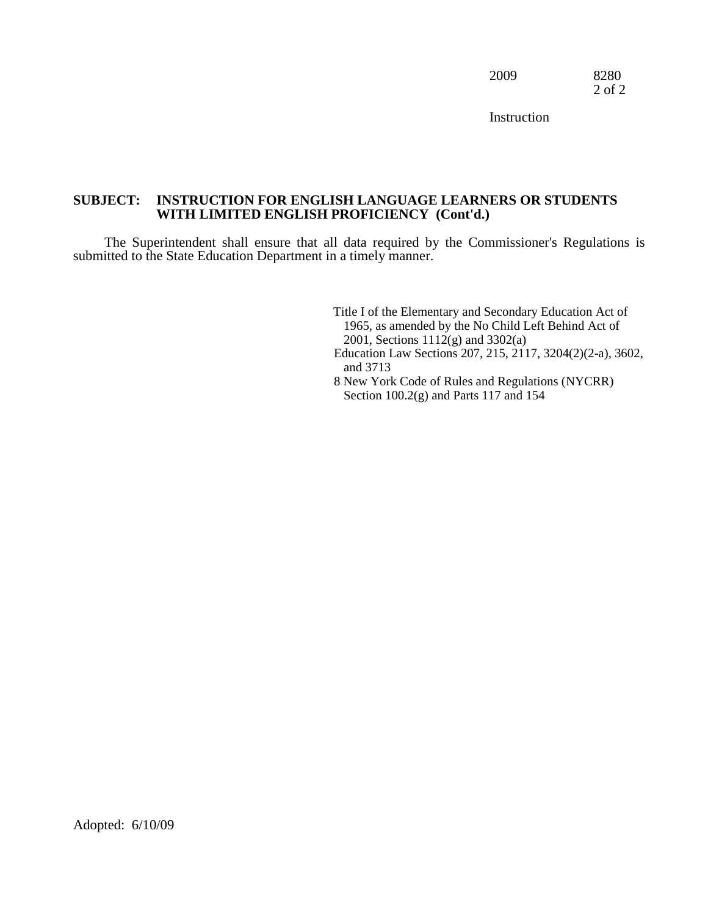2009 8280 2 of 2

**Instruction** 

## **SUBJECT: INSTRUCTION FOR ENGLISH LANGUAGE LEARNERS OR STUDENTS WITH LIMITED ENGLISH PROFICIENCY (Cont'd.)**

The Superintendent shall ensure that all data required by the Commissioner's Regulations is submitted to the State Education Department in a timely manner.

> Title I of the Elementary and Secondary Education Act of 1965, as amended by the No Child Left Behind Act of 2001, Sections 1112(g) and 3302(a) Education Law Sections 207, 215, 2117, 3204(2)(2-a), 3602, and 3713 8 New York Code of Rules and Regulations (NYCRR) Section 100.2(g) and Parts 117 and 154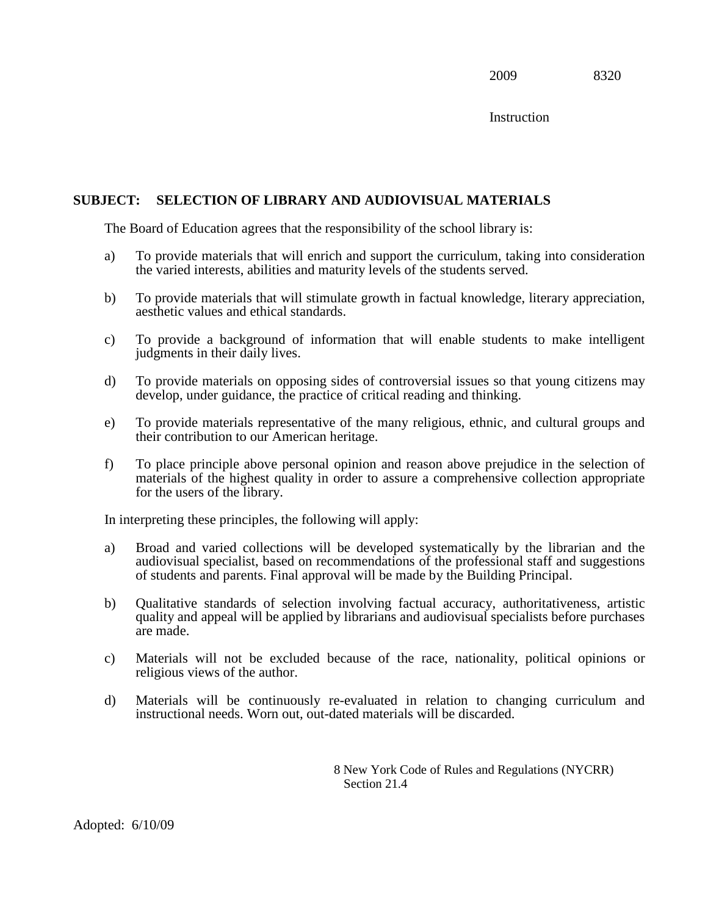**Instruction** 

# **SUBJECT: SELECTION OF LIBRARY AND AUDIOVISUAL MATERIALS**

The Board of Education agrees that the responsibility of the school library is:

- a) To provide materials that will enrich and support the curriculum, taking into consideration the varied interests, abilities and maturity levels of the students served.
- b) To provide materials that will stimulate growth in factual knowledge, literary appreciation, aesthetic values and ethical standards.
- c) To provide a background of information that will enable students to make intelligent judgments in their daily lives.
- d) To provide materials on opposing sides of controversial issues so that young citizens may develop, under guidance, the practice of critical reading and thinking.
- e) To provide materials representative of the many religious, ethnic, and cultural groups and their contribution to our American heritage.
- f) To place principle above personal opinion and reason above prejudice in the selection of materials of the highest quality in order to assure a comprehensive collection appropriate for the users of the library.

In interpreting these principles, the following will apply:

- a) Broad and varied collections will be developed systematically by the librarian and the audiovisual specialist, based on recommendations of the professional staff and suggestions of students and parents. Final approval will be made by the Building Principal.
- b) Qualitative standards of selection involving factual accuracy, authoritativeness, artistic quality and appeal will be applied by librarians and audiovisual specialists before purchases are made.
- c) Materials will not be excluded because of the race, nationality, political opinions or religious views of the author.
- d) Materials will be continuously re-evaluated in relation to changing curriculum and instructional needs. Worn out, out-dated materials will be discarded.

8 New York Code of Rules and Regulations (NYCRR) Section 21.4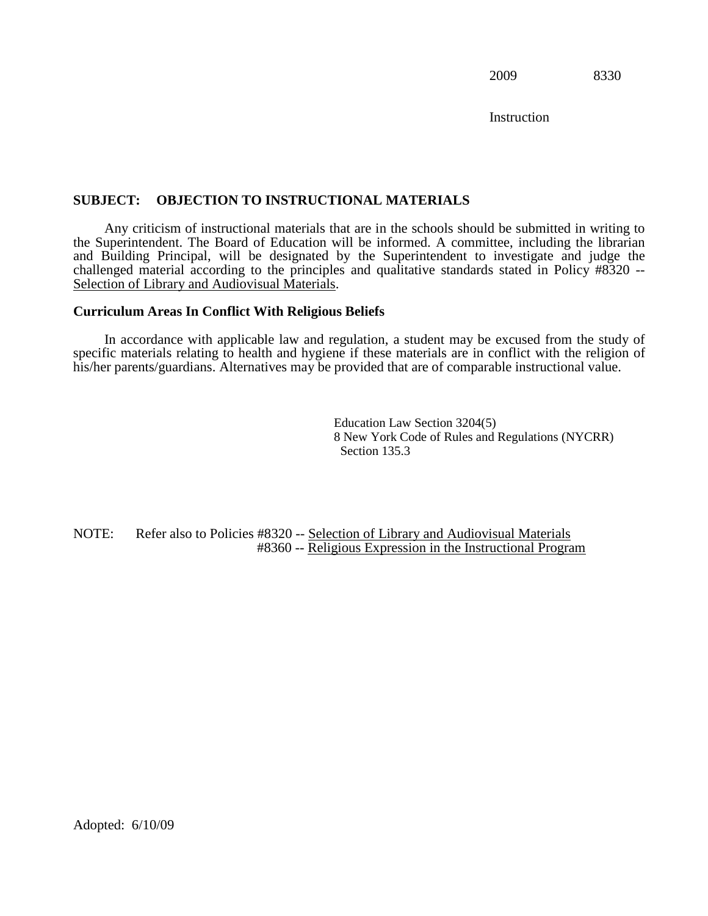**Instruction** 

## **SUBJECT: OBJECTION TO INSTRUCTIONAL MATERIALS**

Any criticism of instructional materials that are in the schools should be submitted in writing to the Superintendent. The Board of Education will be informed. A committee, including the librarian and Building Principal, will be designated by the Superintendent to investigate and judge the challenged material according to the principles and qualitative standards stated in Policy #8320 -- Selection of Library and Audiovisual Materials.

#### **Curriculum Areas In Conflict With Religious Beliefs**

In accordance with applicable law and regulation, a student may be excused from the study of specific materials relating to health and hygiene if these materials are in conflict with the religion of his/her parents/guardians. Alternatives may be provided that are of comparable instructional value.

> Education Law Section 3204(5) 8 New York Code of Rules and Regulations (NYCRR) Section 135.3

NOTE: Refer also to Policies #8320 -- Selection of Library and Audiovisual Materials #8360 -- Religious Expression in the Instructional Program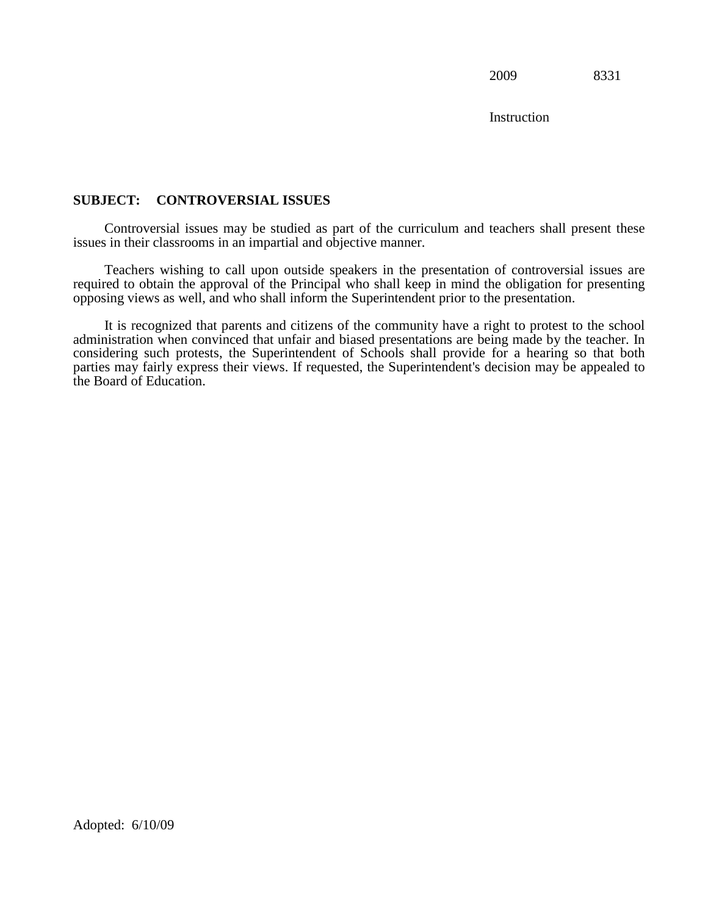**Instruction** 

## **SUBJECT: CONTROVERSIAL ISSUES**

Controversial issues may be studied as part of the curriculum and teachers shall present these issues in their classrooms in an impartial and objective manner.

Teachers wishing to call upon outside speakers in the presentation of controversial issues are required to obtain the approval of the Principal who shall keep in mind the obligation for presenting opposing views as well, and who shall inform the Superintendent prior to the presentation.

It is recognized that parents and citizens of the community have a right to protest to the school administration when convinced that unfair and biased presentations are being made by the teacher. In considering such protests, the Superintendent of Schools shall provide for a hearing so that both parties may fairly express their views. If requested, the Superintendent's decision may be appealed to the Board of Education.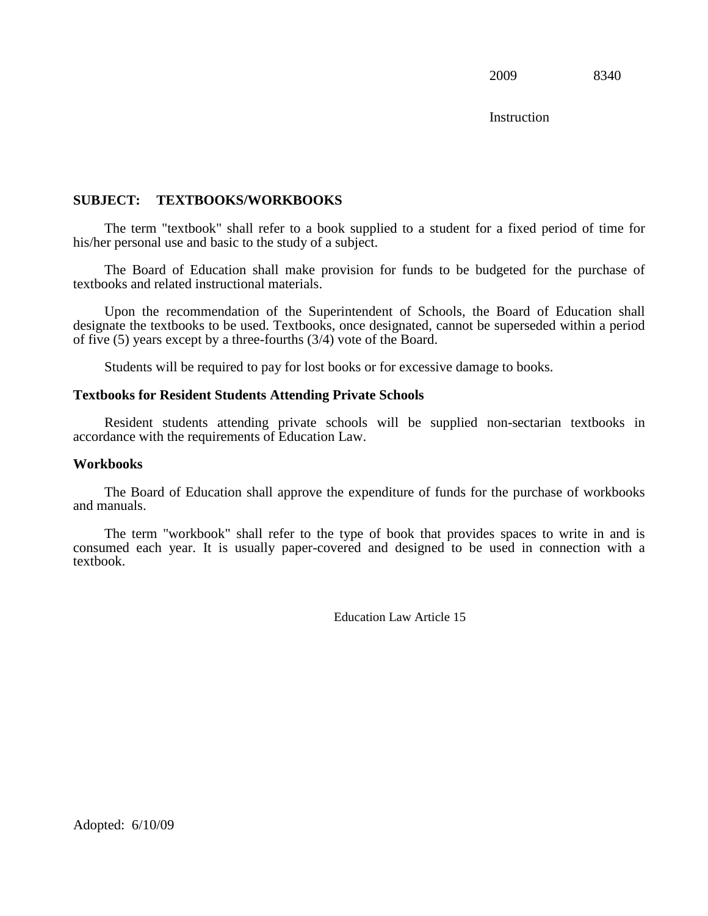**Instruction** 

## **SUBJECT: TEXTBOOKS/WORKBOOKS**

The term "textbook" shall refer to a book supplied to a student for a fixed period of time for his/her personal use and basic to the study of a subject.

The Board of Education shall make provision for funds to be budgeted for the purchase of textbooks and related instructional materials.

Upon the recommendation of the Superintendent of Schools, the Board of Education shall designate the textbooks to be used. Textbooks, once designated, cannot be superseded within a period of five (5) years except by a three-fourths (3/4) vote of the Board.

Students will be required to pay for lost books or for excessive damage to books.

#### **Textbooks for Resident Students Attending Private Schools**

Resident students attending private schools will be supplied non-sectarian textbooks in accordance with the requirements of Education Law.

#### **Workbooks**

The Board of Education shall approve the expenditure of funds for the purchase of workbooks and manuals.

The term "workbook" shall refer to the type of book that provides spaces to write in and is consumed each year. It is usually paper-covered and designed to be used in connection with a textbook.

Education Law Article 15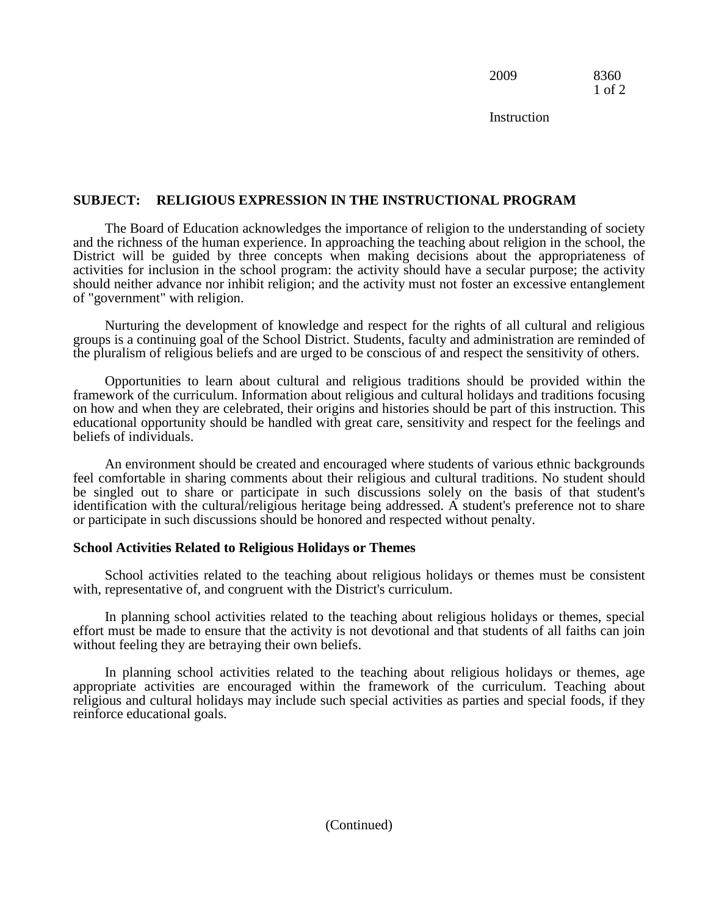2009 8360 1 of 2

**Instruction** 

## **SUBJECT: RELIGIOUS EXPRESSION IN THE INSTRUCTIONAL PROGRAM**

The Board of Education acknowledges the importance of religion to the understanding of society and the richness of the human experience. In approaching the teaching about religion in the school, the District will be guided by three concepts when making decisions about the appropriateness of activities for inclusion in the school program: the activity should have a secular purpose; the activity should neither advance nor inhibit religion; and the activity must not foster an excessive entanglement of "government" with religion.

Nurturing the development of knowledge and respect for the rights of all cultural and religious groups is a continuing goal of the School District. Students, faculty and administration are reminded of the pluralism of religious beliefs and are urged to be conscious of and respect the sensitivity of others.

Opportunities to learn about cultural and religious traditions should be provided within the framework of the curriculum. Information about religious and cultural holidays and traditions focusing on how and when they are celebrated, their origins and histories should be part of this instruction. This educational opportunity should be handled with great care, sensitivity and respect for the feelings and beliefs of individuals.

An environment should be created and encouraged where students of various ethnic backgrounds feel comfortable in sharing comments about their religious and cultural traditions. No student should be singled out to share or participate in such discussions solely on the basis of that student's identification with the cultural/religious heritage being addressed. A student's preference not to share or participate in such discussions should be honored and respected without penalty.

#### **School Activities Related to Religious Holidays or Themes**

School activities related to the teaching about religious holidays or themes must be consistent with, representative of, and congruent with the District's curriculum.

In planning school activities related to the teaching about religious holidays or themes, special effort must be made to ensure that the activity is not devotional and that students of all faiths can join without feeling they are betraying their own beliefs.

In planning school activities related to the teaching about religious holidays or themes, age appropriate activities are encouraged within the framework of the curriculum. Teaching about religious and cultural holidays may include such special activities as parties and special foods, if they reinforce educational goals.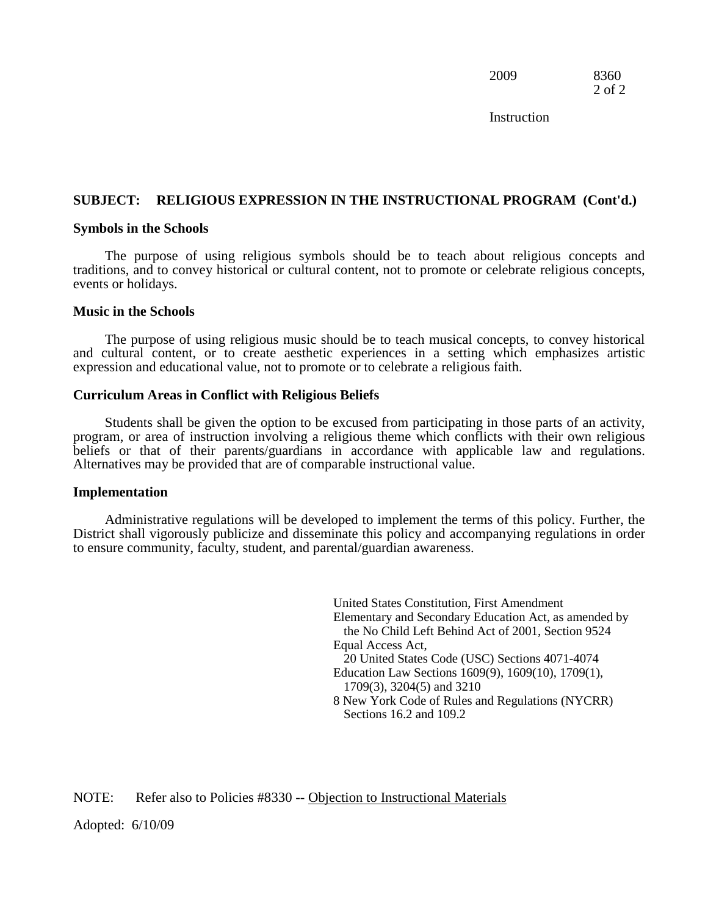2009 8360 2 of 2

**Instruction** 

#### **SUBJECT: RELIGIOUS EXPRESSION IN THE INSTRUCTIONAL PROGRAM (Cont'd.)**

#### **Symbols in the Schools**

The purpose of using religious symbols should be to teach about religious concepts and traditions, and to convey historical or cultural content, not to promote or celebrate religious concepts, events or holidays.

#### **Music in the Schools**

The purpose of using religious music should be to teach musical concepts, to convey historical and cultural content, or to create aesthetic experiences in a setting which emphasizes artistic expression and educational value, not to promote or to celebrate a religious faith.

#### **Curriculum Areas in Conflict with Religious Beliefs**

Students shall be given the option to be excused from participating in those parts of an activity, program, or area of instruction involving a religious theme which conflicts with their own religious beliefs or that of their parents/guardians in accordance with applicable law and regulations. Alternatives may be provided that are of comparable instructional value.

#### **Implementation**

Administrative regulations will be developed to implement the terms of this policy. Further, the District shall vigorously publicize and disseminate this policy and accompanying regulations in order to ensure community, faculty, student, and parental/guardian awareness.

> United States Constitution, First Amendment Elementary and Secondary Education Act, as amended by the No Child Left Behind Act of 2001, Section 9524 Equal Access Act, 20 United States Code (USC) Sections 4071-4074 Education Law Sections 1609(9), 1609(10), 1709(1), 1709(3), 3204(5) and 3210 8 New York Code of Rules and Regulations (NYCRR) Sections 16.2 and 109.2

NOTE: Refer also to Policies #8330 -- Objection to Instructional Materials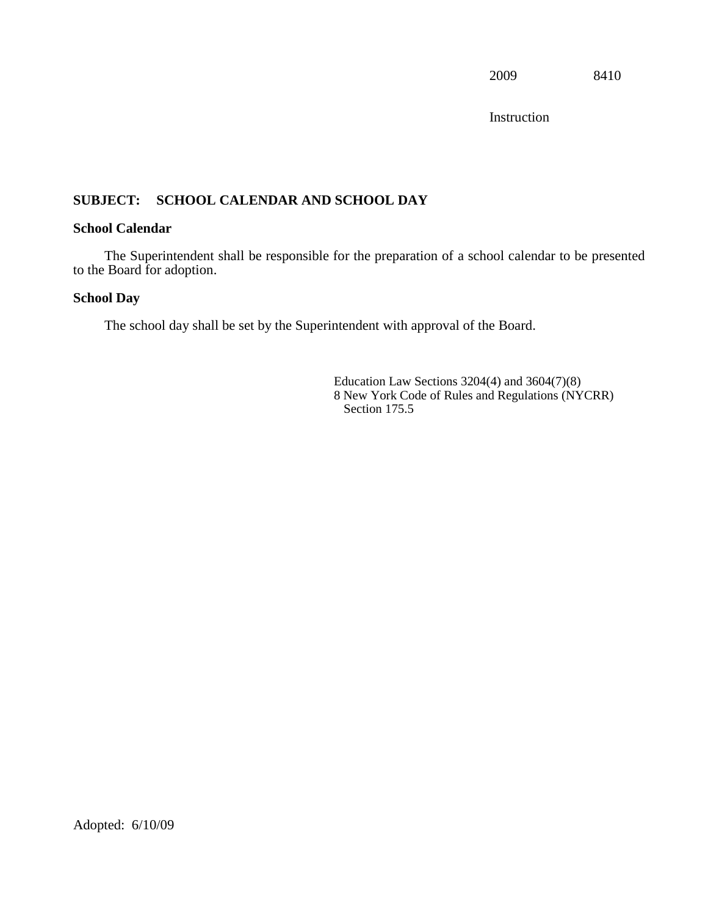Instruction

# **SUBJECT: SCHOOL CALENDAR AND SCHOOL DAY**

## **School Calendar**

The Superintendent shall be responsible for the preparation of a school calendar to be presented to the Board for adoption.

## **School Day**

The school day shall be set by the Superintendent with approval of the Board.

Education Law Sections 3204(4) and 3604(7)(8) 8 New York Code of Rules and Regulations (NYCRR) Section 175.5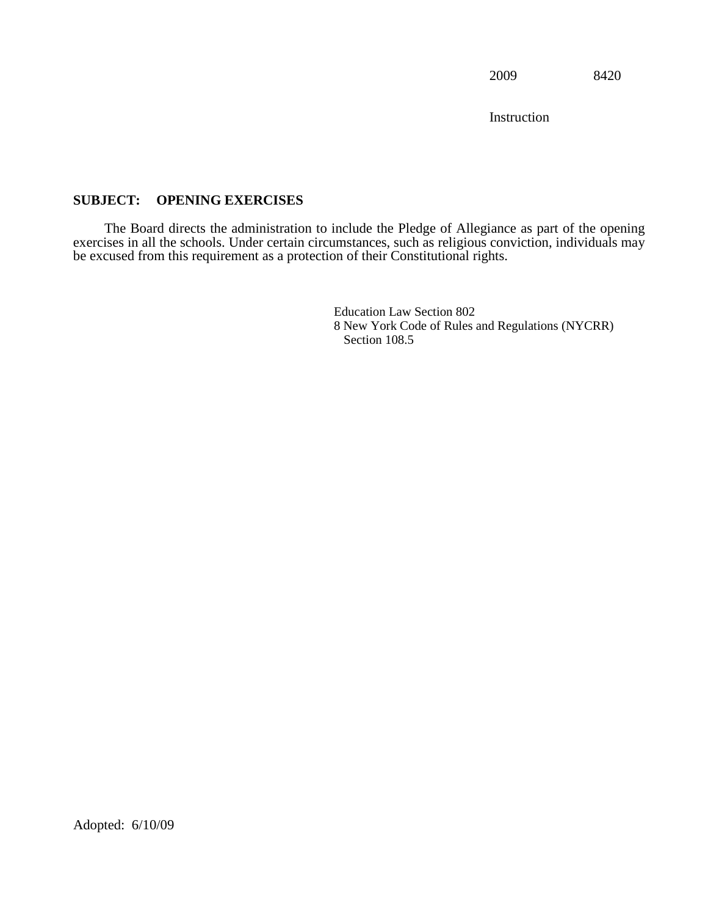Instruction

# **SUBJECT: OPENING EXERCISES**

The Board directs the administration to include the Pledge of Allegiance as part of the opening exercises in all the schools. Under certain circumstances, such as religious conviction, individuals may be excused from this requirement as a protection of their Constitutional rights.

> Education Law Section 802 8 New York Code of Rules and Regulations (NYCRR) Section 108.5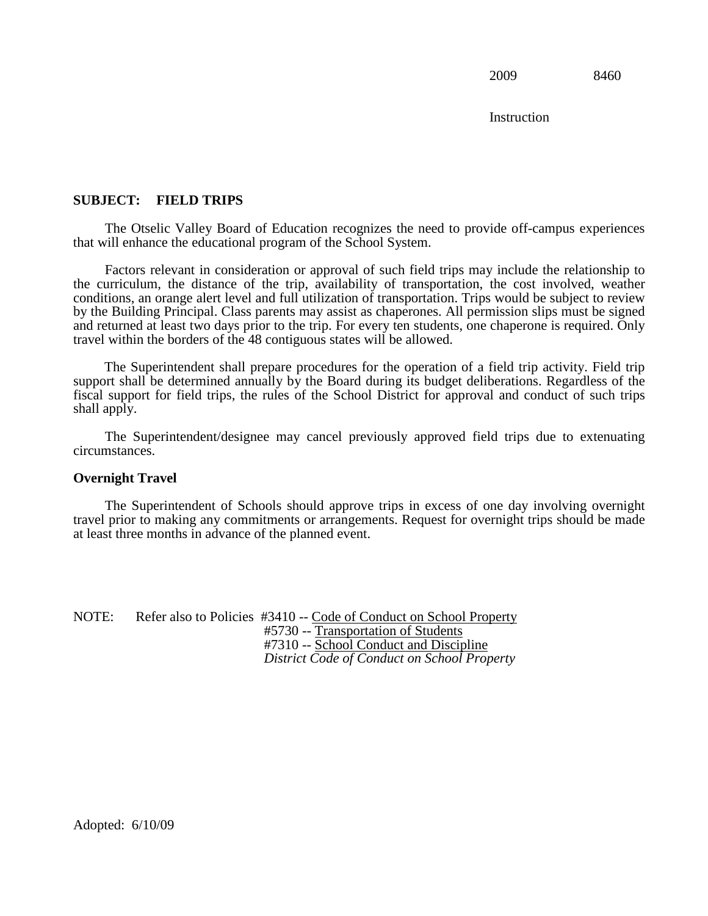Instruction

## **SUBJECT: FIELD TRIPS**

The Otselic Valley Board of Education recognizes the need to provide off-campus experiences that will enhance the educational program of the School System.

Factors relevant in consideration or approval of such field trips may include the relationship to the curriculum, the distance of the trip, availability of transportation, the cost involved, weather conditions, an orange alert level and full utilization of transportation. Trips would be subject to review by the Building Principal. Class parents may assist as chaperones. All permission slips must be signed and returned at least two days prior to the trip. For every ten students, one chaperone is required. Only travel within the borders of the 48 contiguous states will be allowed.

The Superintendent shall prepare procedures for the operation of a field trip activity. Field trip support shall be determined annually by the Board during its budget deliberations. Regardless of the fiscal support for field trips, the rules of the School District for approval and conduct of such trips shall apply.

The Superintendent/designee may cancel previously approved field trips due to extenuating circumstances.

#### **Overnight Travel**

The Superintendent of Schools should approve trips in excess of one day involving overnight travel prior to making any commitments or arrangements. Request for overnight trips should be made at least three months in advance of the planned event.

NOTE: Refer also to Policies #3410 -- Code of Conduct on School Property #5730 -- Transportation of Students #7310 -- School Conduct and Discipline *District Code of Conduct on School Property*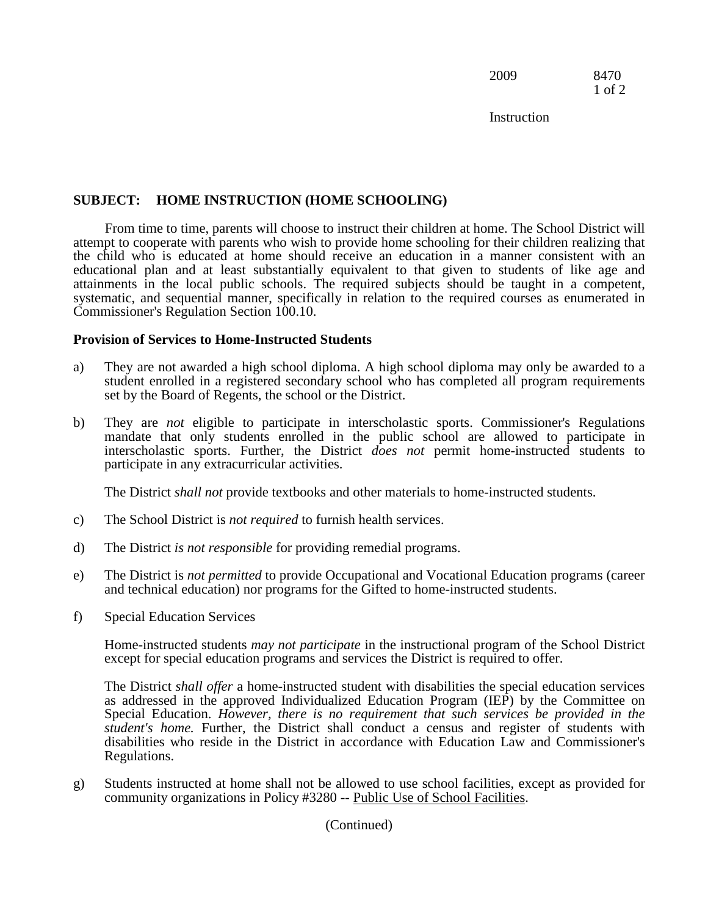2009 8470 1 of 2

**Instruction** 

## **SUBJECT: HOME INSTRUCTION (HOME SCHOOLING)**

From time to time, parents will choose to instruct their children at home. The School District will attempt to cooperate with parents who wish to provide home schooling for their children realizing that the child who is educated at home should receive an education in a manner consistent with an educational plan and at least substantially equivalent to that given to students of like age and attainments in the local public schools. The required subjects should be taught in a competent, systematic, and sequential manner, specifically in relation to the required courses as enumerated in Commissioner's Regulation Section 100.10.

## **Provision of Services to Home-Instructed Students**

- a) They are not awarded a high school diploma. A high school diploma may only be awarded to a student enrolled in a registered secondary school who has completed all program requirements set by the Board of Regents, the school or the District.
- b) They are *not* eligible to participate in interscholastic sports. Commissioner's Regulations mandate that only students enrolled in the public school are allowed to participate in interscholastic sports. Further, the District *does not* permit home-instructed students to participate in any extracurricular activities.

The District *shall not* provide textbooks and other materials to home-instructed students.

- c) The School District is *not required* to furnish health services.
- d) The District *is not responsible* for providing remedial programs.
- e) The District is *not permitted* to provide Occupational and Vocational Education programs (career and technical education) nor programs for the Gifted to home-instructed students.
- f) Special Education Services

Home-instructed students *may not participate* in the instructional program of the School District except for special education programs and services the District is required to offer.

The District *shall offer* a home-instructed student with disabilities the special education services as addressed in the approved Individualized Education Program (IEP) by the Committee on Special Education. *However, there is no requirement that such services be provided in the student's home.* Further, the District shall conduct a census and register of students with disabilities who reside in the District in accordance with Education Law and Commissioner's Regulations.

g) Students instructed at home shall not be allowed to use school facilities, except as provided for community organizations in Policy #3280 -- Public Use of School Facilities.